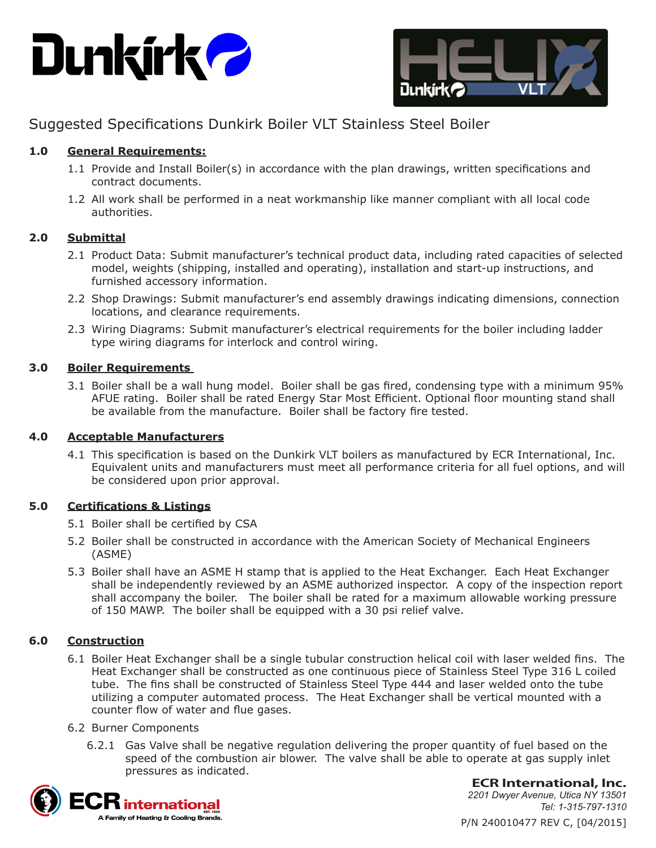



# Suggested Specifications Dunkirk Boiler VLT Stainless Steel Boiler

## **1.0 General Requirements:**

- 1.1 Provide and Install Boiler(s) in accordance with the plan drawings, written specifications and contract documents.
- 1.2 All work shall be performed in a neat workmanship like manner compliant with all local code authorities.

#### **2.0 Submittal**

- 2.1 Product Data: Submit manufacturer's technical product data, including rated capacities of selected model, weights (shipping, installed and operating), installation and start-up instructions, and furnished accessory information.
- 2.2 Shop Drawings: Submit manufacturer's end assembly drawings indicating dimensions, connection locations, and clearance requirements.
- 2.3 Wiring Diagrams: Submit manufacturer's electrical requirements for the boiler including ladder type wiring diagrams for interlock and control wiring.

## **3.0 Boiler Requirements**

3.1 Boiler shall be a wall hung model. Boiler shall be gas fired, condensing type with a minimum 95% AFUE rating. Boiler shall be rated Energy Star Most Efficient. Optional floor mounting stand shall be available from the manufacture. Boiler shall be factory fire tested.

## **4.0 Acceptable Manufacturers**

4.1 This specification is based on the Dunkirk VLT boilers as manufactured by ECR International, Inc. Equivalent units and manufacturers must meet all performance criteria for all fuel options, and will be considered upon prior approval.

## **5.0 Certifications & Listings**

- 5.1 Boiler shall be certified by CSA
- 5.2 Boiler shall be constructed in accordance with the American Society of Mechanical Engineers (ASME)
- 5.3 Boiler shall have an ASME H stamp that is applied to the Heat Exchanger. Each Heat Exchanger shall be independently reviewed by an ASME authorized inspector. A copy of the inspection report shall accompany the boiler. The boiler shall be rated for a maximum allowable working pressure of 150 MAWP. The boiler shall be equipped with a 30 psi relief valve.

## **6.0 Construction**

6.1 Boiler Heat Exchanger shall be a single tubular construction helical coil with laser welded fins. The Heat Exchanger shall be constructed as one continuous piece of Stainless Steel Type 316 L coiled tube. The fins shall be constructed of Stainless Steel Type 444 and laser welded onto the tube utilizing a computer automated process. The Heat Exchanger shall be vertical mounted with a counter flow of water and flue gases.

#### 6.2 Burner Components

6.2.1 Gas Valve shall be negative regulation delivering the proper quantity of fuel based on the speed of the combustion air blower. The valve shall be able to operate at gas supply inlet pressures as indicated.



**ECR International, Inc.**

P/N 240010477 REV C, [04/2015] *2201 Dwyer Avenue, Utica NY 13501 Tel: 1-315-797-1310*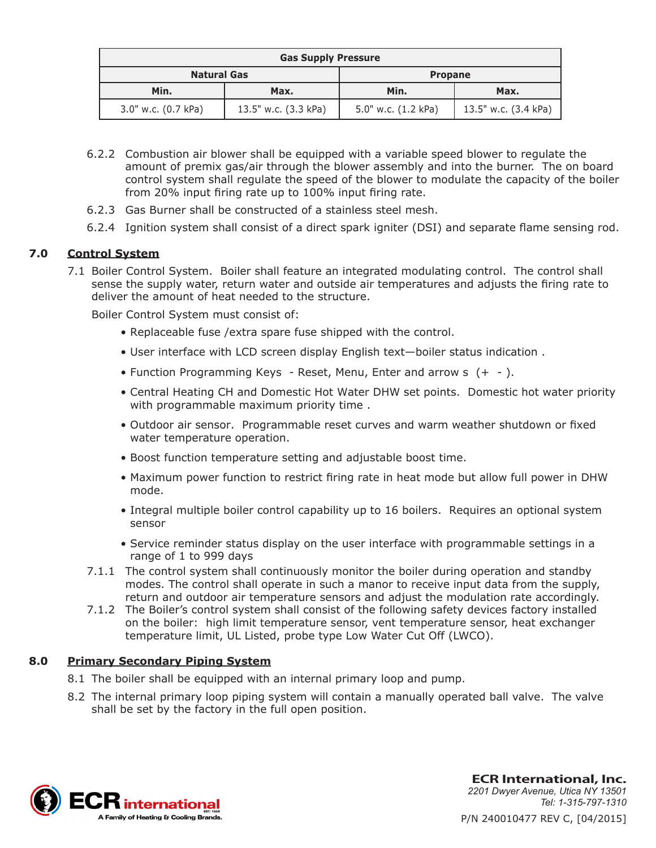| <b>Gas Supply Pressure</b> |                      |                     |                      |
|----------------------------|----------------------|---------------------|----------------------|
| <b>Natural Gas</b>         |                      | <b>Propane</b>      |                      |
| Min.                       | Max.                 | Min.                | Max.                 |
| 3.0" w.c. (0.7 kPa)        | 13.5" w.c. (3.3 kPa) | 5.0" w.c. (1.2 kPa) | 13.5" w.c. (3.4 kPa) |

- 6.2.2 Combustion air blower shall be equipped with a variable speed blower to regulate the amount of premix gas/air through the blower assembly and into the burner. The on board control system shall regulate the speed of the blower to modulate the capacity of the boiler from 20% input firing rate up to 100% input firing rate.
- 6.2.3 Gas Burner shall be constructed of a stainless steel mesh.
- 6.2.4 Ignition system shall consist of a direct spark igniter (DSI) and separate flame sensing rod.

## **7.0 Control System**

7.1 Boiler Control System. Boiler shall feature an integrated modulating control. The control shall sense the supply water, return water and outside air temperatures and adjusts the firing rate to deliver the amount of heat needed to the structure.

Boiler Control System must consist of:

- Replaceable fuse /extra spare fuse shipped with the control.
- User interface with LCD screen display English text—boiler status indication .
- Function Programming Keys Reset, Menu, Enter and arrow s (+ ).
- Central Heating CH and Domestic Hot Water DHW set points. Domestic hot water priority with programmable maximum priority time .
- Outdoor air sensor. Programmable reset curves and warm weather shutdown or fixed water temperature operation.
- Boost function temperature setting and adjustable boost time.
- Maximum power function to restrict firing rate in heat mode but allow full power in DHW mode.
- Integral multiple boiler control capability up to 16 boilers. Requires an optional system sensor
- Service reminder status display on the user interface with programmable settings in a range of 1 to 999 days
- 7.1.1 The control system shall continuously monitor the boiler during operation and standby modes. The control shall operate in such a manor to receive input data from the supply, return and outdoor air temperature sensors and adjust the modulation rate accordingly.
- 7.1.2 The Boiler's control system shall consist of the following safety devices factory installed on the boiler: high limit temperature sensor, vent temperature sensor, heat exchanger temperature limit, UL Listed, probe type Low Water Cut Off (LWCO).

#### **8.0 Primary Secondary Piping System**

- 8.1 The boiler shall be equipped with an internal primary loop and pump.
- 8.2 The internal primary loop piping system will contain a manually operated ball valve. The valve shall be set by the factory in the full open position.



P/N 240010477 REV C, [04/2015] **ECR International, Inc.** *2201 Dwyer Avenue, Utica NY 13501 Tel: 1-315-797-1310*